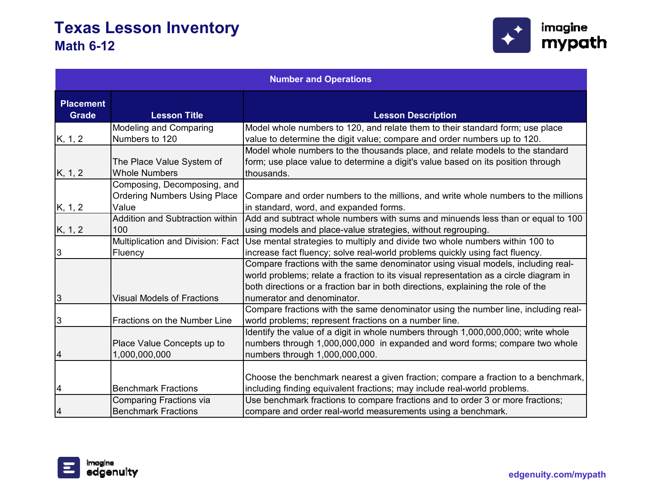

| <b>Number and Operations</b>     |                                                   |                                                                                                                                                                                 |
|----------------------------------|---------------------------------------------------|---------------------------------------------------------------------------------------------------------------------------------------------------------------------------------|
| <b>Placement</b><br><b>Grade</b> | <b>Lesson Title</b>                               | <b>Lesson Description</b>                                                                                                                                                       |
|                                  | <b>Modeling and Comparing</b>                     | Model whole numbers to 120, and relate them to their standard form; use place                                                                                                   |
| K, 1, 2                          | Numbers to 120                                    | value to determine the digit value; compare and order numbers up to 120.                                                                                                        |
| K, 1, 2                          | The Place Value System of<br><b>Whole Numbers</b> | Model whole numbers to the thousands place, and relate models to the standard<br>form; use place value to determine a digit's value based on its position through<br>thousands. |
|                                  | Composing, Decomposing, and                       |                                                                                                                                                                                 |
|                                  | <b>Ordering Numbers Using Place</b>               | Compare and order numbers to the millions, and write whole numbers to the millions                                                                                              |
| K, 1, 2                          | Value                                             | in standard, word, and expanded forms.                                                                                                                                          |
|                                  | <b>Addition and Subtraction within</b>            | Add and subtract whole numbers with sums and minuends less than or equal to 100                                                                                                 |
| K, 1, 2                          | 100                                               | using models and place-value strategies, without regrouping.                                                                                                                    |
|                                  | Multiplication and Division: Fact                 | Use mental strategies to multiply and divide two whole numbers within 100 to                                                                                                    |
| 3                                | Fluency                                           | increase fact fluency; solve real-world problems quickly using fact fluency.                                                                                                    |
|                                  |                                                   | Compare fractions with the same denominator using visual models, including real-                                                                                                |
|                                  |                                                   | world problems; relate a fraction to its visual representation as a circle diagram in                                                                                           |
|                                  |                                                   | both directions or a fraction bar in both directions, explaining the role of the                                                                                                |
| $\overline{3}$                   | <b>Visual Models of Fractions</b>                 | numerator and denominator.                                                                                                                                                      |
| 3                                | Fractions on the Number Line                      | Compare fractions with the same denominator using the number line, including real-<br>world problems; represent fractions on a number line.                                     |
|                                  |                                                   | Identify the value of a digit in whole numbers through 1,000,000,000; write whole                                                                                               |
|                                  | Place Value Concepts up to                        | numbers through 1,000,000,000 in expanded and word forms; compare two whole                                                                                                     |
| 4                                | 1,000,000,000                                     | numbers through 1,000,000,000.                                                                                                                                                  |
| 4                                | <b>Benchmark Fractions</b>                        | Choose the benchmark nearest a given fraction; compare a fraction to a benchmark,<br>including finding equivalent fractions; may include real-world problems.                   |
|                                  | <b>Comparing Fractions via</b>                    | Use benchmark fractions to compare fractions and to order 3 or more fractions;                                                                                                  |
| 4                                | <b>Benchmark Fractions</b>                        | compare and order real-world measurements using a benchmark.                                                                                                                    |

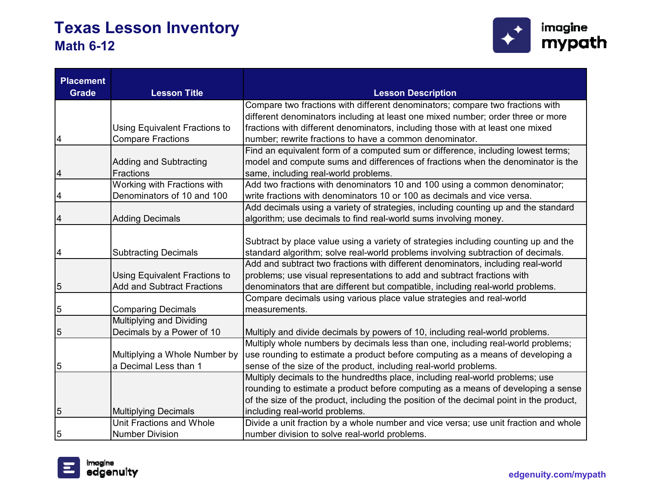

| <b>Placement</b><br><b>Grade</b> | <b>Lesson Title</b>               |                                                                                         |
|----------------------------------|-----------------------------------|-----------------------------------------------------------------------------------------|
|                                  |                                   | <b>Lesson Description</b>                                                               |
|                                  |                                   | Compare two fractions with different denominators; compare two fractions with           |
|                                  |                                   | different denominators including at least one mixed number; order three or more         |
|                                  | Using Equivalent Fractions to     | fractions with different denominators, including those with at least one mixed          |
| 4                                | <b>Compare Fractions</b>          | number; rewrite fractions to have a common denominator.                                 |
|                                  |                                   | Find an equivalent form of a computed sum or difference, including lowest terms;        |
|                                  | <b>Adding and Subtracting</b>     | model and compute sums and differences of fractions when the denominator is the         |
| 4                                | Fractions                         | same, including real-world problems.                                                    |
|                                  | Working with Fractions with       | Add two fractions with denominators 10 and 100 using a common denominator;              |
| 4                                | Denominators of 10 and 100        | write fractions with denominators 10 or 100 as decimals and vice versa.                 |
|                                  |                                   | Add decimals using a variety of strategies, including counting up and the standard      |
| 4                                | <b>Adding Decimals</b>            | algorithm; use decimals to find real-world sums involving money.                        |
|                                  |                                   |                                                                                         |
|                                  |                                   | Subtract by place value using a variety of strategies including counting up and the     |
| 4                                | <b>Subtracting Decimals</b>       | standard algorithm; solve real-world problems involving subtraction of decimals.        |
|                                  |                                   | Add and subtract two fractions with different denominators, including real-world        |
|                                  | Using Equivalent Fractions to     | problems; use visual representations to add and subtract fractions with                 |
| 5                                | <b>Add and Subtract Fractions</b> | denominators that are different but compatible, including real-world problems.          |
|                                  |                                   | Compare decimals using various place value strategies and real-world                    |
| 5                                | <b>Comparing Decimals</b>         | measurements.                                                                           |
|                                  | Multiplying and Dividing          |                                                                                         |
| 5                                | Decimals by a Power of 10         | Multiply and divide decimals by powers of 10, including real-world problems.            |
|                                  |                                   | Multiply whole numbers by decimals less than one, including real-world problems;        |
|                                  | Multiplying a Whole Number by     | use rounding to estimate a product before computing as a means of developing a          |
| 5                                | a Decimal Less than 1             | sense of the size of the product, including real-world problems.                        |
|                                  |                                   | Multiply decimals to the hundredths place, including real-world problems; use           |
|                                  |                                   | rounding to estimate a product before computing as a means of developing a sense        |
|                                  |                                   | of the size of the product, including the position of the decimal point in the product, |
| 5                                | <b>Multiplying Decimals</b>       | including real-world problems.                                                          |
|                                  | <b>Unit Fractions and Whole</b>   | Divide a unit fraction by a whole number and vice versa; use unit fraction and whole    |
| 5                                | <b>Number Division</b>            | number division to solve real-world problems.                                           |

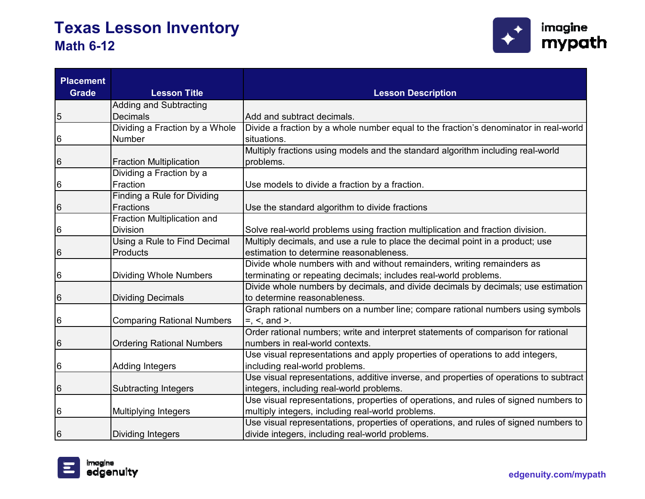

| <b>Placement</b><br><b>Grade</b> | <b>Lesson Title</b>               | <b>Lesson Description</b>                                                              |
|----------------------------------|-----------------------------------|----------------------------------------------------------------------------------------|
|                                  | <b>Adding and Subtracting</b>     |                                                                                        |
| 5                                | <b>Decimals</b>                   | Add and subtract decimals.                                                             |
|                                  | Dividing a Fraction by a Whole    | Divide a fraction by a whole number equal to the fraction's denominator in real-world  |
| 6                                | Number                            | situations.                                                                            |
|                                  |                                   | Multiply fractions using models and the standard algorithm including real-world        |
| 6                                | <b>Fraction Multiplication</b>    | problems.                                                                              |
|                                  | Dividing a Fraction by a          |                                                                                        |
| 6                                | Fraction                          | Use models to divide a fraction by a fraction.                                         |
|                                  | Finding a Rule for Dividing       |                                                                                        |
| 6                                | Fractions                         | Use the standard algorithm to divide fractions                                         |
|                                  | Fraction Multiplication and       |                                                                                        |
| 6                                | <b>Division</b>                   | Solve real-world problems using fraction multiplication and fraction division.         |
|                                  | Using a Rule to Find Decimal      | Multiply decimals, and use a rule to place the decimal point in a product; use         |
| 6                                | Products                          | estimation to determine reasonableness.                                                |
|                                  |                                   | Divide whole numbers with and without remainders, writing remainders as                |
| 6                                | <b>Dividing Whole Numbers</b>     | terminating or repeating decimals; includes real-world problems.                       |
|                                  |                                   | Divide whole numbers by decimals, and divide decimals by decimals; use estimation      |
| 6                                | <b>Dividing Decimals</b>          | to determine reasonableness.                                                           |
|                                  |                                   | Graph rational numbers on a number line; compare rational numbers using symbols        |
| 6                                | <b>Comparing Rational Numbers</b> | $=$ , $\le$ , and $\ge$ .                                                              |
|                                  |                                   | Order rational numbers; write and interpret statements of comparison for rational      |
| 6                                | <b>Ordering Rational Numbers</b>  | numbers in real-world contexts.                                                        |
|                                  |                                   | Use visual representations and apply properties of operations to add integers,         |
| 6                                | <b>Adding Integers</b>            | including real-world problems.                                                         |
|                                  |                                   | Use visual representations, additive inverse, and properties of operations to subtract |
| 6                                | <b>Subtracting Integers</b>       | integers, including real-world problems.                                               |
|                                  |                                   | Use visual representations, properties of operations, and rules of signed numbers to   |
| 6                                | <b>Multiplying Integers</b>       | multiply integers, including real-world problems.                                      |
|                                  |                                   | Use visual representations, properties of operations, and rules of signed numbers to   |
| 6                                | Dividing Integers                 | divide integers, including real-world problems.                                        |

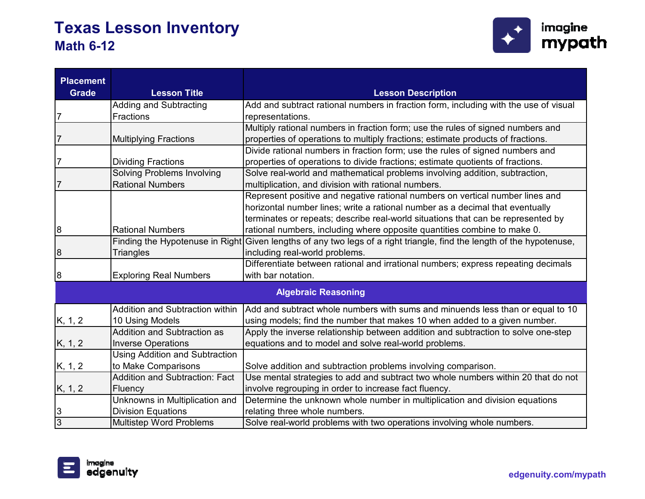

| <b>Placement</b><br><b>Grade</b> | <b>Lesson Title</b>                   | <b>Lesson Description</b>                                                             |
|----------------------------------|---------------------------------------|---------------------------------------------------------------------------------------|
|                                  | <b>Adding and Subtracting</b>         | Add and subtract rational numbers in fraction form, including with the use of visual  |
| 7                                | Fractions                             | representations.                                                                      |
|                                  |                                       | Multiply rational numbers in fraction form; use the rules of signed numbers and       |
| 7                                | <b>Multiplying Fractions</b>          | properties of operations to multiply fractions; estimate products of fractions.       |
|                                  |                                       | Divide rational numbers in fraction form; use the rules of signed numbers and         |
| 7                                | <b>Dividing Fractions</b>             | properties of operations to divide fractions; estimate quotients of fractions.        |
|                                  | <b>Solving Problems Involving</b>     | Solve real-world and mathematical problems involving addition, subtraction,           |
| 7                                | <b>Rational Numbers</b>               | multiplication, and division with rational numbers.                                   |
|                                  |                                       | Represent positive and negative rational numbers on vertical number lines and         |
|                                  |                                       | horizontal number lines; write a rational number as a decimal that eventually         |
|                                  |                                       | terminates or repeats; describe real-world situations that can be represented by      |
| 8                                | <b>Rational Numbers</b>               | rational numbers, including where opposite quantities combine to make 0.              |
|                                  | Finding the Hypotenuse in Right       | Given lengths of any two legs of a right triangle, find the length of the hypotenuse, |
| 8                                | <b>Triangles</b>                      | including real-world problems.                                                        |
|                                  |                                       | Differentiate between rational and irrational numbers; express repeating decimals     |
| 8                                | <b>Exploring Real Numbers</b>         | with bar notation.                                                                    |
|                                  |                                       | <b>Algebraic Reasoning</b>                                                            |
|                                  | Addition and Subtraction within       | Add and subtract whole numbers with sums and minuends less than or equal to 10        |
| K, 1, 2                          | 10 Using Models                       | using models; find the number that makes 10 when added to a given number.             |
|                                  | <b>Addition and Subtraction as</b>    | Apply the inverse relationship between addition and subtraction to solve one-step     |
| K, 1, 2                          | <b>Inverse Operations</b>             | equations and to model and solve real-world problems.                                 |
|                                  | <b>Using Addition and Subtraction</b> |                                                                                       |
| K, 1, 2                          | to Make Comparisons                   | Solve addition and subtraction problems involving comparison.                         |
|                                  | <b>Addition and Subtraction: Fact</b> | Use mental strategies to add and subtract two whole numbers within 20 that do not     |
| K, 1, 2                          | Fluency                               | involve regrouping in order to increase fact fluency.                                 |
|                                  | Unknowns in Multiplication and        | Determine the unknown whole number in multiplication and division equations           |
| 3                                | <b>Division Equations</b>             | relating three whole numbers.                                                         |
| $\overline{3}$                   | <b>Multistep Word Problems</b>        | Solve real-world problems with two operations involving whole numbers.                |

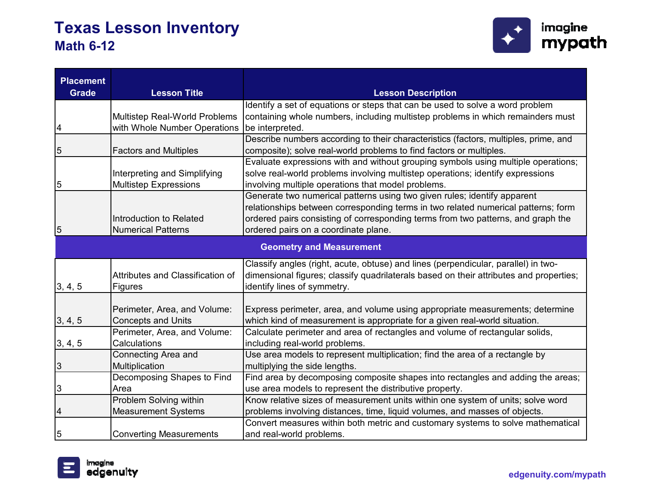

| <b>Placement</b><br><b>Grade</b> | <b>Lesson Title</b>              | <b>Lesson Description</b>                                                              |
|----------------------------------|----------------------------------|----------------------------------------------------------------------------------------|
|                                  |                                  | Identify a set of equations or steps that can be used to solve a word problem          |
|                                  | Multistep Real-World Problems    | containing whole numbers, including multistep problems in which remainders must        |
| 4                                | with Whole Number Operations     | be interpreted.                                                                        |
|                                  |                                  | Describe numbers according to their characteristics (factors, multiples, prime, and    |
| 5                                | <b>Factors and Multiples</b>     | composite); solve real-world problems to find factors or multiples.                    |
|                                  |                                  | Evaluate expressions with and without grouping symbols using multiple operations;      |
|                                  | Interpreting and Simplifying     | solve real-world problems involving multistep operations; identify expressions         |
| 5                                | <b>Multistep Expressions</b>     | involving multiple operations that model problems.                                     |
|                                  |                                  | Generate two numerical patterns using two given rules; identify apparent               |
|                                  |                                  | relationships between corresponding terms in two related numerical patterns; form      |
|                                  | Introduction to Related          | ordered pairs consisting of corresponding terms from two patterns, and graph the       |
| $\mathbf 5$                      | <b>Numerical Patterns</b>        | ordered pairs on a coordinate plane.                                                   |
|                                  |                                  | <b>Geometry and Measurement</b>                                                        |
|                                  |                                  | Classify angles (right, acute, obtuse) and lines (perpendicular, parallel) in two-     |
|                                  | Attributes and Classification of | dimensional figures; classify quadrilaterals based on their attributes and properties; |
| 3, 4, 5                          | Figures                          | identify lines of symmetry.                                                            |
|                                  |                                  |                                                                                        |
|                                  | Perimeter, Area, and Volume:     | Express perimeter, area, and volume using appropriate measurements; determine          |
| 3, 4, 5                          | <b>Concepts and Units</b>        | which kind of measurement is appropriate for a given real-world situation.             |
|                                  | Perimeter, Area, and Volume:     | Calculate perimeter and area of rectangles and volume of rectangular solids,           |
| 3, 4, 5                          | Calculations                     | including real-world problems.                                                         |
|                                  | Connecting Area and              | Use area models to represent multiplication; find the area of a rectangle by           |
| $\ensuremath{\mathsf{3}}$        | Multiplication                   | multiplying the side lengths.                                                          |
|                                  | Decomposing Shapes to Find       | Find area by decomposing composite shapes into rectangles and adding the areas;        |
| 3                                | Area                             | use area models to represent the distributive property.                                |
|                                  | Problem Solving within           | Know relative sizes of measurement units within one system of units; solve word        |
| 4                                | <b>Measurement Systems</b>       | problems involving distances, time, liquid volumes, and masses of objects.             |
| 5                                |                                  | Convert measures within both metric and customary systems to solve mathematical        |
|                                  | <b>Converting Measurements</b>   | and real-world problems.                                                               |

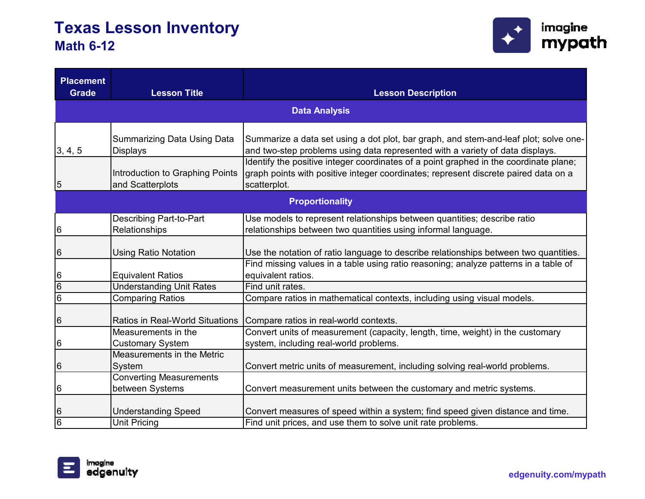

| <b>Placement</b><br><b>Grade</b> | <b>Lesson Title</b>                                   | <b>Lesson Description</b>                                                             |
|----------------------------------|-------------------------------------------------------|---------------------------------------------------------------------------------------|
|                                  |                                                       |                                                                                       |
|                                  |                                                       | <b>Data Analysis</b>                                                                  |
|                                  |                                                       |                                                                                       |
|                                  | <b>Summarizing Data Using Data</b>                    | Summarize a data set using a dot plot, bar graph, and stem-and-leaf plot; solve one-  |
| 3, 4, 5                          | <b>Displays</b>                                       | and two-step problems using data represented with a variety of data displays.         |
|                                  |                                                       | Identify the positive integer coordinates of a point graphed in the coordinate plane; |
|                                  | Introduction to Graphing Points                       | graph points with positive integer coordinates; represent discrete paired data on a   |
| 5                                | and Scatterplots                                      | scatterplot.                                                                          |
|                                  |                                                       | <b>Proportionality</b>                                                                |
|                                  | <b>Describing Part-to-Part</b>                        | Use models to represent relationships between quantities; describe ratio              |
| 6                                | Relationships                                         | relationships between two quantities using informal language.                         |
|                                  |                                                       |                                                                                       |
| 6                                | <b>Using Ratio Notation</b>                           | Use the notation of ratio language to describe relationships between two quantities.  |
|                                  |                                                       | Find missing values in a table using ratio reasoning; analyze patterns in a table of  |
| 6                                | <b>Equivalent Ratios</b>                              | equivalent ratios.                                                                    |
| $\overline{6}$                   | <b>Understanding Unit Rates</b>                       | Find unit rates.                                                                      |
| $\overline{6}$                   | <b>Comparing Ratios</b>                               | Compare ratios in mathematical contexts, including using visual models.               |
|                                  |                                                       |                                                                                       |
| 6                                | <b>Ratios in Real-World Situations</b>                | Compare ratios in real-world contexts.                                                |
|                                  | Measurements in the                                   | Convert units of measurement (capacity, length, time, weight) in the customary        |
| 6                                | <b>Customary System</b><br>Measurements in the Metric | system, including real-world problems.                                                |
|                                  |                                                       |                                                                                       |
| 6                                | System                                                | Convert metric units of measurement, including solving real-world problems.           |
|                                  | <b>Converting Measurements</b>                        |                                                                                       |
| 6                                | between Systems                                       | Convert measurement units between the customary and metric systems.                   |
| 6                                | <b>Understanding Speed</b>                            | Convert measures of speed within a system; find speed given distance and time.        |
| $\overline{6}$                   | <b>Unit Pricing</b>                                   | Find unit prices, and use them to solve unit rate problems.                           |
|                                  |                                                       |                                                                                       |

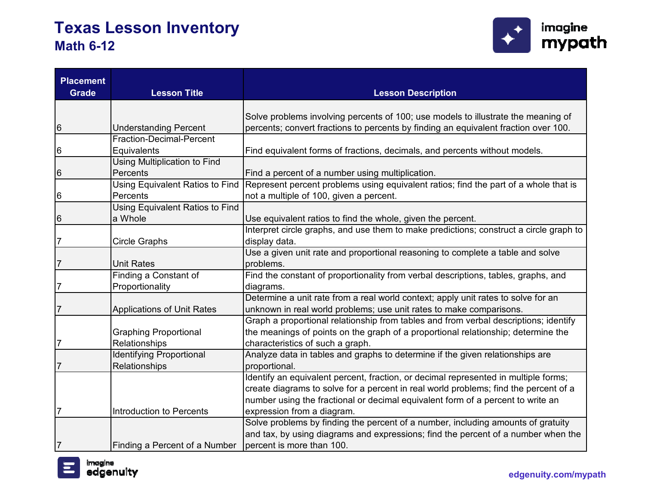

| <b>Placement</b><br><b>Grade</b> | <b>Lesson Title</b>                    | <b>Lesson Description</b>                                                                                                                                                |
|----------------------------------|----------------------------------------|--------------------------------------------------------------------------------------------------------------------------------------------------------------------------|
|                                  |                                        |                                                                                                                                                                          |
| 6                                | <b>Understanding Percent</b>           | Solve problems involving percents of 100; use models to illustrate the meaning of<br>percents; convert fractions to percents by finding an equivalent fraction over 100. |
|                                  | Fraction-Decimal-Percent               |                                                                                                                                                                          |
| 6                                | Equivalents                            | Find equivalent forms of fractions, decimals, and percents without models.                                                                                               |
|                                  | <b>Using Multiplication to Find</b>    |                                                                                                                                                                          |
| 6                                | Percents                               | Find a percent of a number using multiplication.                                                                                                                         |
|                                  | <b>Using Equivalent Ratios to Find</b> | Represent percent problems using equivalent ratios; find the part of a whole that is                                                                                     |
| 6                                | Percents                               | not a multiple of 100, given a percent.                                                                                                                                  |
|                                  | Using Equivalent Ratios to Find        |                                                                                                                                                                          |
| 6                                | a Whole                                | Use equivalent ratios to find the whole, given the percent.                                                                                                              |
|                                  |                                        | Interpret circle graphs, and use them to make predictions; construct a circle graph to                                                                                   |
| 7                                | <b>Circle Graphs</b>                   | display data.                                                                                                                                                            |
|                                  |                                        | Use a given unit rate and proportional reasoning to complete a table and solve                                                                                           |
| $\overline{7}$                   | <b>Unit Rates</b>                      | problems.                                                                                                                                                                |
|                                  | Finding a Constant of                  | Find the constant of proportionality from verbal descriptions, tables, graphs, and                                                                                       |
| $\overline{7}$                   | Proportionality                        | diagrams.                                                                                                                                                                |
|                                  |                                        | Determine a unit rate from a real world context; apply unit rates to solve for an                                                                                        |
| $\overline{7}$                   | <b>Applications of Unit Rates</b>      | unknown in real world problems; use unit rates to make comparisons.                                                                                                      |
|                                  |                                        | Graph a proportional relationship from tables and from verbal descriptions; identify                                                                                     |
|                                  | <b>Graphing Proportional</b>           | the meanings of points on the graph of a proportional relationship; determine the                                                                                        |
| 7                                | Relationships                          | characteristics of such a graph.                                                                                                                                         |
|                                  | <b>Identifying Proportional</b>        | Analyze data in tables and graphs to determine if the given relationships are                                                                                            |
| $\overline{7}$                   | Relationships                          | proportional.                                                                                                                                                            |
|                                  |                                        | Identify an equivalent percent, fraction, or decimal represented in multiple forms;                                                                                      |
|                                  |                                        | create diagrams to solve for a percent in real world problems; find the percent of a                                                                                     |
|                                  |                                        | number using the fractional or decimal equivalent form of a percent to write an                                                                                          |
|                                  | Introduction to Percents               | expression from a diagram.                                                                                                                                               |
|                                  |                                        | Solve problems by finding the percent of a number, including amounts of gratuity                                                                                         |
|                                  |                                        | and tax, by using diagrams and expressions; find the percent of a number when the                                                                                        |
| $\overline{7}$                   | Finding a Percent of a Number          | percent is more than 100.                                                                                                                                                |

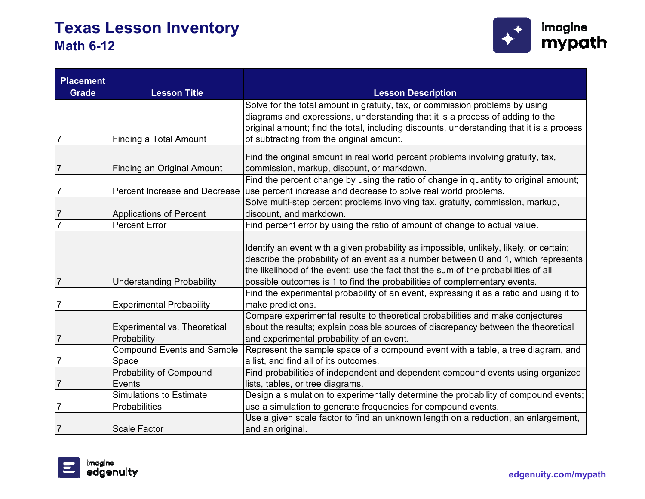

| <b>Placement</b><br><b>Grade</b> | <b>Lesson Title</b>                                | <b>Lesson Description</b>                                                                                                                                                                                                                                                                                                                        |
|----------------------------------|----------------------------------------------------|--------------------------------------------------------------------------------------------------------------------------------------------------------------------------------------------------------------------------------------------------------------------------------------------------------------------------------------------------|
|                                  |                                                    | Solve for the total amount in gratuity, tax, or commission problems by using                                                                                                                                                                                                                                                                     |
|                                  |                                                    | diagrams and expressions, understanding that it is a process of adding to the                                                                                                                                                                                                                                                                    |
|                                  |                                                    | original amount; find the total, including discounts, understanding that it is a process                                                                                                                                                                                                                                                         |
| 7                                | <b>Finding a Total Amount</b>                      | of subtracting from the original amount.                                                                                                                                                                                                                                                                                                         |
|                                  |                                                    | Find the original amount in real world percent problems involving gratuity, tax,                                                                                                                                                                                                                                                                 |
| 7                                | Finding an Original Amount                         | commission, markup, discount, or markdown.                                                                                                                                                                                                                                                                                                       |
|                                  |                                                    | Find the percent change by using the ratio of change in quantity to original amount;                                                                                                                                                                                                                                                             |
| 7                                |                                                    | Percent Increase and Decrease use percent increase and decrease to solve real world problems.                                                                                                                                                                                                                                                    |
|                                  |                                                    | Solve multi-step percent problems involving tax, gratuity, commission, markup,                                                                                                                                                                                                                                                                   |
| 7                                | <b>Applications of Percent</b>                     | discount, and markdown.                                                                                                                                                                                                                                                                                                                          |
| 7                                | <b>Percent Error</b>                               | Find percent error by using the ratio of amount of change to actual value.                                                                                                                                                                                                                                                                       |
|                                  | <b>Understanding Probability</b>                   | Identify an event with a given probability as impossible, unlikely, likely, or certain;<br>describe the probability of an event as a number between 0 and 1, which represents<br>the likelihood of the event; use the fact that the sum of the probabilities of all<br>possible outcomes is 1 to find the probabilities of complementary events. |
| 7                                | <b>Experimental Probability</b>                    | Find the experimental probability of an event, expressing it as a ratio and using it to<br>make predictions.                                                                                                                                                                                                                                     |
| $\overline{7}$                   | <b>Experimental vs. Theoretical</b><br>Probability | Compare experimental results to theoretical probabilities and make conjectures<br>about the results; explain possible sources of discrepancy between the theoretical<br>and experimental probability of an event.                                                                                                                                |
|                                  | <b>Compound Events and Sample</b>                  | Represent the sample space of a compound event with a table, a tree diagram, and                                                                                                                                                                                                                                                                 |
| 7                                | Space                                              | a list, and find all of its outcomes.                                                                                                                                                                                                                                                                                                            |
|                                  | Probability of Compound                            | Find probabilities of independent and dependent compound events using organized                                                                                                                                                                                                                                                                  |
| 7                                | Events                                             | lists, tables, or tree diagrams.                                                                                                                                                                                                                                                                                                                 |
|                                  | <b>Simulations to Estimate</b>                     | Design a simulation to experimentally determine the probability of compound events;                                                                                                                                                                                                                                                              |
| 7                                | Probabilities                                      | use a simulation to generate frequencies for compound events.                                                                                                                                                                                                                                                                                    |
|                                  |                                                    | Use a given scale factor to find an unknown length on a reduction, an enlargement,                                                                                                                                                                                                                                                               |
| 7                                | <b>Scale Factor</b>                                | and an original.                                                                                                                                                                                                                                                                                                                                 |

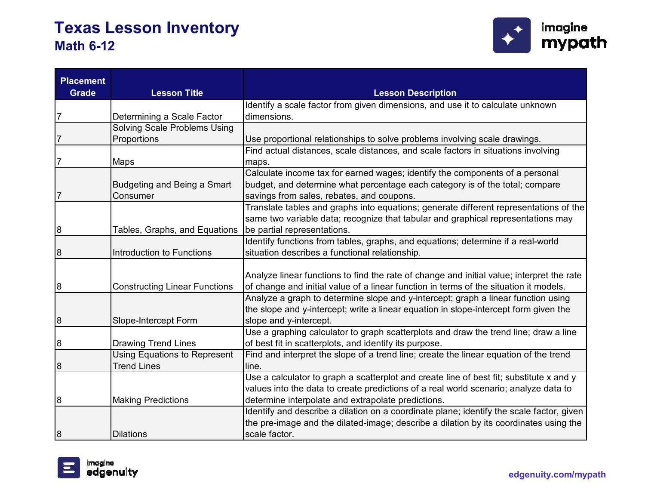

| <b>Placement</b><br><b>Grade</b> | <b>Lesson Title</b>                  | <b>Lesson Description</b>                                                                 |
|----------------------------------|--------------------------------------|-------------------------------------------------------------------------------------------|
|                                  |                                      | Identify a scale factor from given dimensions, and use it to calculate unknown            |
| 7                                | Determining a Scale Factor           | dimensions.                                                                               |
|                                  | Solving Scale Problems Using         |                                                                                           |
|                                  | Proportions                          | Use proportional relationships to solve problems involving scale drawings.                |
| $\overline{7}$                   |                                      | Find actual distances, scale distances, and scale factors in situations involving         |
|                                  | <b>Maps</b>                          | maps.<br>Calculate income tax for earned wages; identify the components of a personal     |
|                                  | Budgeting and Being a Smart          | budget, and determine what percentage each category is of the total; compare              |
| $\overline{7}$                   | Consumer                             | savings from sales, rebates, and coupons.                                                 |
|                                  |                                      | Translate tables and graphs into equations; generate different representations of the     |
|                                  |                                      | same two variable data; recognize that tabular and graphical representations may          |
| 8                                | Tables, Graphs, and Equations        | be partial representations.                                                               |
|                                  |                                      | Identify functions from tables, graphs, and equations; determine if a real-world          |
| 8                                | Introduction to Functions            | situation describes a functional relationship.                                            |
|                                  |                                      |                                                                                           |
|                                  |                                      | Analyze linear functions to find the rate of change and initial value; interpret the rate |
| 8                                | <b>Constructing Linear Functions</b> | of change and initial value of a linear function in terms of the situation it models.     |
|                                  |                                      | Analyze a graph to determine slope and y-intercept; graph a linear function using         |
|                                  |                                      | the slope and y-intercept; write a linear equation in slope-intercept form given the      |
| 8                                | Slope-Intercept Form                 | slope and y-intercept.                                                                    |
|                                  |                                      | Use a graphing calculator to graph scatterplots and draw the trend line; draw a line      |
| 8                                | <b>Drawing Trend Lines</b>           | of best fit in scatterplots, and identify its purpose.                                    |
|                                  | <b>Using Equations to Represent</b>  | Find and interpret the slope of a trend line; create the linear equation of the trend     |
| 8                                | <b>Trend Lines</b>                   | line.                                                                                     |
|                                  |                                      | Use a calculator to graph a scatterplot and create line of best fit; substitute x and y   |
|                                  |                                      | values into the data to create predictions of a real world scenario; analyze data to      |
| 8                                | <b>Making Predictions</b>            | determine interpolate and extrapolate predictions.                                        |
|                                  |                                      | Identify and describe a dilation on a coordinate plane; identify the scale factor, given  |
|                                  |                                      | the pre-image and the dilated-image; describe a dilation by its coordinates using the     |
| 8                                | <b>Dilations</b>                     | scale factor.                                                                             |

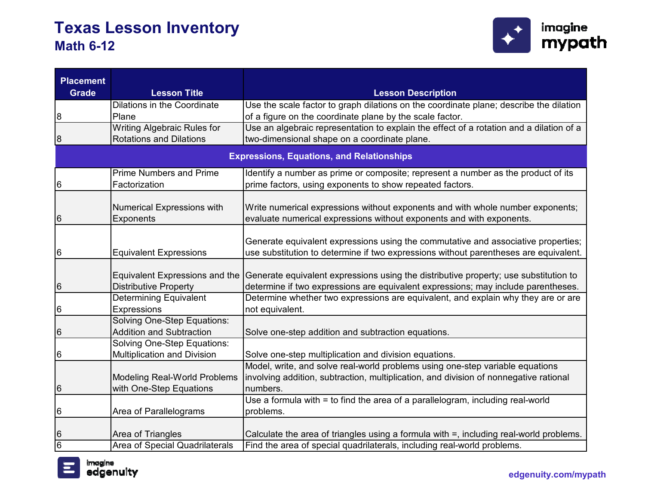

| <b>Placement</b><br><b>Grade</b> | <b>Lesson Title</b>                                                   | <b>Lesson Description</b>                                                                                                                                                          |
|----------------------------------|-----------------------------------------------------------------------|------------------------------------------------------------------------------------------------------------------------------------------------------------------------------------|
| 8                                | Dilations in the Coordinate<br>Plane                                  | Use the scale factor to graph dilations on the coordinate plane; describe the dilation<br>of a figure on the coordinate plane by the scale factor.                                 |
|                                  | <b>Writing Algebraic Rules for</b>                                    | Use an algebraic representation to explain the effect of a rotation and a dilation of a                                                                                            |
| 8                                | <b>Rotations and Dilations</b>                                        | two-dimensional shape on a coordinate plane.                                                                                                                                       |
|                                  |                                                                       | <b>Expressions, Equations, and Relationships</b>                                                                                                                                   |
| 6                                | <b>Prime Numbers and Prime</b><br>Factorization                       | Identify a number as prime or composite; represent a number as the product of its<br>prime factors, using exponents to show repeated factors.                                      |
| 6                                | <b>Numerical Expressions with</b><br><b>Exponents</b>                 | Write numerical expressions without exponents and with whole number exponents;<br>evaluate numerical expressions without exponents and with exponents.                             |
| 6                                | <b>Equivalent Expressions</b>                                         | Generate equivalent expressions using the commutative and associative properties;<br>use substitution to determine if two expressions without parentheses are equivalent.          |
| 6                                | <b>Equivalent Expressions and the</b><br><b>Distributive Property</b> | Generate equivalent expressions using the distributive property; use substitution to<br>determine if two expressions are equivalent expressions; may include parentheses.          |
| 6                                | <b>Determining Equivalent</b><br>Expressions                          | Determine whether two expressions are equivalent, and explain why they are or are<br>not equivalent.                                                                               |
| 6                                | <b>Solving One-Step Equations:</b><br><b>Addition and Subtraction</b> | Solve one-step addition and subtraction equations.                                                                                                                                 |
| 6                                | <b>Solving One-Step Equations:</b><br>Multiplication and Division     | Solve one-step multiplication and division equations.                                                                                                                              |
| 6                                | <b>Modeling Real-World Problems</b><br>with One-Step Equations        | Model, write, and solve real-world problems using one-step variable equations<br>involving addition, subtraction, multiplication, and division of nonnegative rational<br>numbers. |
| 6                                | Area of Parallelograms                                                | Use a formula with = to find the area of a parallelogram, including real-world<br>problems.                                                                                        |
| 6                                | Area of Triangles                                                     | Calculate the area of triangles using a formula with =, including real-world problems.                                                                                             |
| 6                                | Area of Special Quadrilaterals                                        | Find the area of special quadrilaterals, including real-world problems.                                                                                                            |

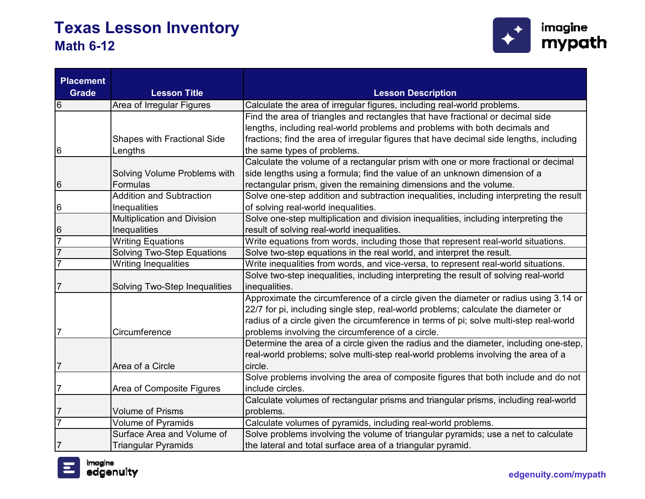

| <b>Placement</b> |                                    |                                                                                         |
|------------------|------------------------------------|-----------------------------------------------------------------------------------------|
| <b>Grade</b>     | <b>Lesson Title</b>                | <b>Lesson Description</b>                                                               |
| 6                | Area of Irregular Figures          | Calculate the area of irregular figures, including real-world problems.                 |
|                  |                                    | Find the area of triangles and rectangles that have fractional or decimal side          |
|                  |                                    | lengths, including real-world problems and problems with both decimals and              |
|                  | <b>Shapes with Fractional Side</b> | fractions; find the area of irregular figures that have decimal side lengths, including |
| 6                | Lengths                            | the same types of problems.                                                             |
|                  |                                    | Calculate the volume of a rectangular prism with one or more fractional or decimal      |
|                  | Solving Volume Problems with       | side lengths using a formula; find the value of an unknown dimension of a               |
| 6                | Formulas                           | rectangular prism, given the remaining dimensions and the volume.                       |
|                  | <b>Addition and Subtraction</b>    | Solve one-step addition and subtraction inequalities, including interpreting the result |
| 6                | Inequalities                       | of solving real-world inequalities.                                                     |
|                  | <b>Multiplication and Division</b> | Solve one-step multiplication and division inequalities, including interpreting the     |
| 6                | Inequalities                       | result of solving real-world inequalities.                                              |
| $\overline{7}$   | <b>Writing Equations</b>           | Write equations from words, including those that represent real-world situations.       |
| $\overline{7}$   | <b>Solving Two-Step Equations</b>  | Solve two-step equations in the real world, and interpret the result.                   |
| 7                | <b>Writing Inequalities</b>        | Write inequalities from words, and vice-versa, to represent real-world situations.      |
|                  |                                    | Solve two-step inequalities, including interpreting the result of solving real-world    |
| 7                | Solving Two-Step Inequalities      | inequalities.                                                                           |
|                  |                                    | Approximate the circumference of a circle given the diameter or radius using 3.14 or    |
|                  |                                    | 22/7 for pi, including single step, real-world problems; calculate the diameter or      |
|                  |                                    | radius of a circle given the circumference in terms of pi; solve multi-step real-world  |
| 7                | Circumference                      | problems involving the circumference of a circle.                                       |
|                  |                                    | Determine the area of a circle given the radius and the diameter, including one-step,   |
|                  |                                    | real-world problems; solve multi-step real-world problems involving the area of a       |
| 7                | Area of a Circle                   | circle.                                                                                 |
|                  |                                    | Solve problems involving the area of composite figures that both include and do not     |
| 7                | Area of Composite Figures          | include circles.                                                                        |
|                  |                                    | Calculate volumes of rectangular prisms and triangular prisms, including real-world     |
| 7                | <b>Volume of Prisms</b>            | problems.                                                                               |
| $\overline{7}$   | <b>Volume of Pyramids</b>          | Calculate volumes of pyramids, including real-world problems.                           |
|                  | Surface Area and Volume of         | Solve problems involving the volume of triangular pyramids; use a net to calculate      |
| $\overline{7}$   | <b>Triangular Pyramids</b>         | the lateral and total surface area of a triangular pyramid.                             |

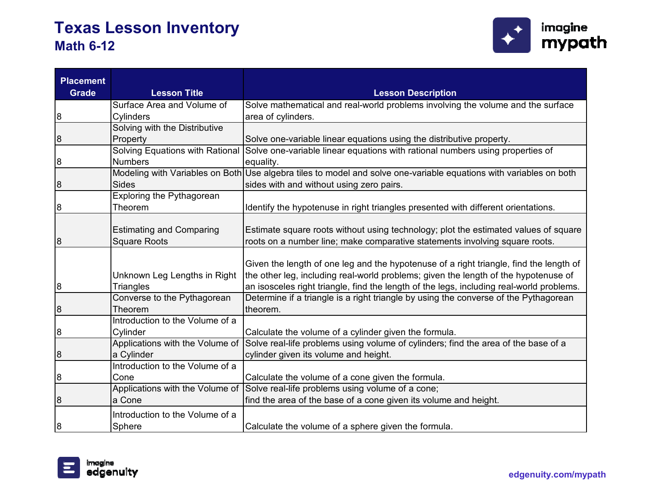

| <b>Placement</b><br><b>Grade</b> | <b>Lesson Title</b>                                    | <b>Lesson Description</b>                                                                                                                                                                                                                                                 |
|----------------------------------|--------------------------------------------------------|---------------------------------------------------------------------------------------------------------------------------------------------------------------------------------------------------------------------------------------------------------------------------|
|                                  | Surface Area and Volume of                             | Solve mathematical and real-world problems involving the volume and the surface                                                                                                                                                                                           |
| 8                                | <b>Cylinders</b>                                       | area of cylinders.                                                                                                                                                                                                                                                        |
|                                  | Solving with the Distributive                          |                                                                                                                                                                                                                                                                           |
| 8                                | Property                                               | Solve one-variable linear equations using the distributive property.                                                                                                                                                                                                      |
|                                  | <b>Solving Equations with Rational</b>                 | Solve one-variable linear equations with rational numbers using properties of                                                                                                                                                                                             |
| 8                                | <b>Numbers</b>                                         | equality.                                                                                                                                                                                                                                                                 |
|                                  |                                                        | Modeling with Variables on Both Use algebra tiles to model and solve one-variable equations with variables on both                                                                                                                                                        |
| 8                                | <b>Sides</b>                                           | sides with and without using zero pairs.                                                                                                                                                                                                                                  |
|                                  | Exploring the Pythagorean                              |                                                                                                                                                                                                                                                                           |
| 8                                | Theorem                                                | Identify the hypotenuse in right triangles presented with different orientations.                                                                                                                                                                                         |
| 8                                | <b>Estimating and Comparing</b><br><b>Square Roots</b> | Estimate square roots without using technology; plot the estimated values of square<br>roots on a number line; make comparative statements involving square roots.                                                                                                        |
| 8                                | Unknown Leg Lengths in Right<br>Triangles              | Given the length of one leg and the hypotenuse of a right triangle, find the length of<br>the other leg, including real-world problems; given the length of the hypotenuse of<br>an isosceles right triangle, find the length of the legs, including real-world problems. |
| 8                                | Converse to the Pythagorean<br>Theorem                 | Determine if a triangle is a right triangle by using the converse of the Pythagorean<br>theorem.                                                                                                                                                                          |
| 8                                | Introduction to the Volume of a<br>Cylinder            | Calculate the volume of a cylinder given the formula.                                                                                                                                                                                                                     |
| 8                                | a Cylinder                                             | Applications with the Volume of Solve real-life problems using volume of cylinders; find the area of the base of a<br>cylinder given its volume and height.                                                                                                               |
|                                  | Introduction to the Volume of a                        |                                                                                                                                                                                                                                                                           |
| 8                                | Cone                                                   | Calculate the volume of a cone given the formula.                                                                                                                                                                                                                         |
|                                  |                                                        | Applications with the Volume of Solve real-life problems using volume of a cone;                                                                                                                                                                                          |
| 8                                | a Cone                                                 | find the area of the base of a cone given its volume and height.                                                                                                                                                                                                          |
|                                  | Introduction to the Volume of a                        |                                                                                                                                                                                                                                                                           |
| 8                                | Sphere                                                 | Calculate the volume of a sphere given the formula.                                                                                                                                                                                                                       |

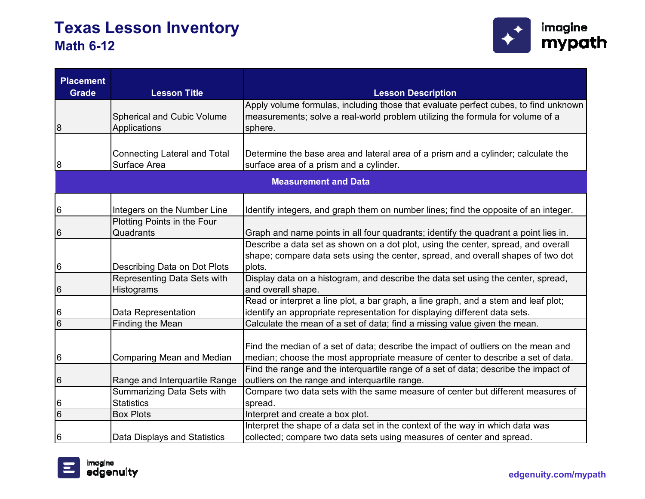

| <b>Placement</b>    |                                                        |                                                                                     |
|---------------------|--------------------------------------------------------|-------------------------------------------------------------------------------------|
| <b>Grade</b>        | <b>Lesson Title</b>                                    | <b>Lesson Description</b>                                                           |
|                     |                                                        | Apply volume formulas, including those that evaluate perfect cubes, to find unknown |
|                     | Spherical and Cubic Volume                             | measurements; solve a real-world problem utilizing the formula for volume of a      |
| 8                   | Applications                                           | sphere.                                                                             |
|                     |                                                        |                                                                                     |
|                     | <b>Connecting Lateral and Total</b>                    | Determine the base area and lateral area of a prism and a cylinder; calculate the   |
| 8                   | Surface Area                                           | surface area of a prism and a cylinder.                                             |
|                     |                                                        | <b>Measurement and Data</b>                                                         |
|                     |                                                        |                                                                                     |
| 6                   | Integers on the Number Line                            | Identify integers, and graph them on number lines; find the opposite of an integer. |
|                     | Plotting Points in the Four                            |                                                                                     |
| 6                   | Quadrants                                              | Graph and name points in all four quadrants; identify the quadrant a point lies in. |
|                     |                                                        | Describe a data set as shown on a dot plot, using the center, spread, and overall   |
|                     |                                                        | shape; compare data sets using the center, spread, and overall shapes of two dot    |
| 6                   | Describing Data on Dot Plots                           | plots.                                                                              |
|                     | Representing Data Sets with                            | Display data on a histogram, and describe the data set using the center, spread,    |
| 6                   | Histograms                                             | and overall shape.                                                                  |
|                     |                                                        | Read or interpret a line plot, a bar graph, a line graph, and a stem and leaf plot; |
| 6                   | Data Representation                                    | identify an appropriate representation for displaying different data sets.          |
| $\overline{6}$      | Finding the Mean                                       | Calculate the mean of a set of data; find a missing value given the mean.           |
|                     |                                                        |                                                                                     |
|                     |                                                        | Find the median of a set of data; describe the impact of outliers on the mean and   |
| 6                   | <b>Comparing Mean and Median</b>                       | median; choose the most appropriate measure of center to describe a set of data.    |
|                     |                                                        | Find the range and the interquartile range of a set of data; describe the impact of |
| 6                   | Range and Interquartile Range                          | outliers on the range and interquartile range.                                      |
|                     | <b>Summarizing Data Sets with</b><br><b>Statistics</b> | Compare two data sets with the same measure of center but different measures of     |
| 6<br>$\overline{6}$ | <b>Box Plots</b>                                       | spread.<br>Interpret and create a box plot.                                         |
|                     |                                                        | Interpret the shape of a data set in the context of the way in which data was       |
| 6                   |                                                        | collected; compare two data sets using measures of center and spread.               |
|                     | Data Displays and Statistics                           |                                                                                     |

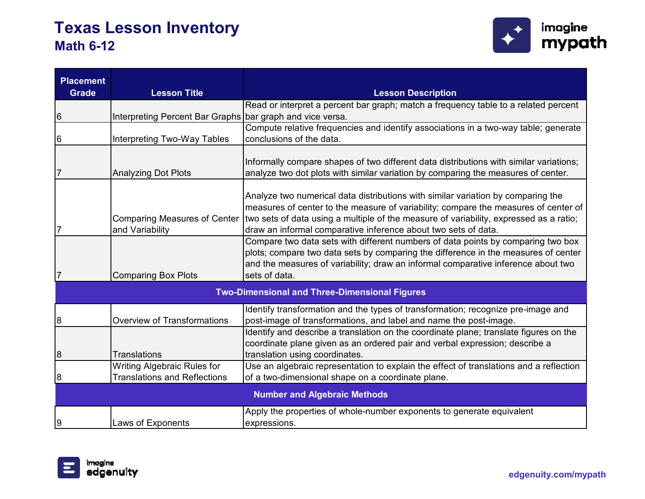

| <b>Placement</b><br><b>Grade</b> | <b>Lesson Title</b>                                       | <b>Lesson Description</b>                                                                                                                                                                                                                                                                                                                                          |
|----------------------------------|-----------------------------------------------------------|--------------------------------------------------------------------------------------------------------------------------------------------------------------------------------------------------------------------------------------------------------------------------------------------------------------------------------------------------------------------|
|                                  |                                                           | Read or interpret a percent bar graph; match a frequency table to a related percent                                                                                                                                                                                                                                                                                |
| 6                                | Interpreting Percent Bar Graphs bar graph and vice versa. |                                                                                                                                                                                                                                                                                                                                                                    |
|                                  |                                                           | Compute relative frequencies and identify associations in a two-way table; generate                                                                                                                                                                                                                                                                                |
| 6                                | Interpreting Two-Way Tables                               | conclusions of the data.                                                                                                                                                                                                                                                                                                                                           |
|                                  |                                                           |                                                                                                                                                                                                                                                                                                                                                                    |
|                                  |                                                           | Informally compare shapes of two different data distributions with similar variations;                                                                                                                                                                                                                                                                             |
| $\overline{7}$                   | <b>Analyzing Dot Plots</b>                                | analyze two dot plots with similar variation by comparing the measures of center.                                                                                                                                                                                                                                                                                  |
| 7                                | and Variability                                           | Analyze two numerical data distributions with similar variation by comparing the<br>measures of center to the measure of variability; compare the measures of center of<br>Comparing Measures of Center   two sets of data using a multiple of the measure of variability, expressed as a ratio;<br>draw an informal comparative inference about two sets of data. |
|                                  | <b>Comparing Box Plots</b>                                | Compare two data sets with different numbers of data points by comparing two box<br>plots; compare two data sets by comparing the difference in the measures of center<br>and the measures of variability; draw an informal comparative inference about two<br>sets of data.                                                                                       |
|                                  |                                                           | <b>Two-Dimensional and Three-Dimensional Figures</b>                                                                                                                                                                                                                                                                                                               |
| 8                                | <b>Overview of Transformations</b>                        | Identify transformation and the types of transformation; recognize pre-image and<br>post-image of transformations, and label and name the post-image.                                                                                                                                                                                                              |
|                                  |                                                           | Identify and describe a translation on the coordinate plane; translate figures on the<br>coordinate plane given as an ordered pair and verbal expression; describe a                                                                                                                                                                                               |
| 8                                | <b>Translations</b>                                       | translation using coordinates.                                                                                                                                                                                                                                                                                                                                     |
|                                  | <b>Writing Algebraic Rules for</b>                        | Use an algebraic representation to explain the effect of translations and a reflection                                                                                                                                                                                                                                                                             |
| 8                                | <b>Translations and Reflections</b>                       | of a two-dimensional shape on a coordinate plane.                                                                                                                                                                                                                                                                                                                  |
|                                  |                                                           | <b>Number and Algebraic Methods</b>                                                                                                                                                                                                                                                                                                                                |
|                                  |                                                           | Apply the properties of whole-number exponents to generate equivalent                                                                                                                                                                                                                                                                                              |
| 9                                | Laws of Exponents                                         | expressions.                                                                                                                                                                                                                                                                                                                                                       |

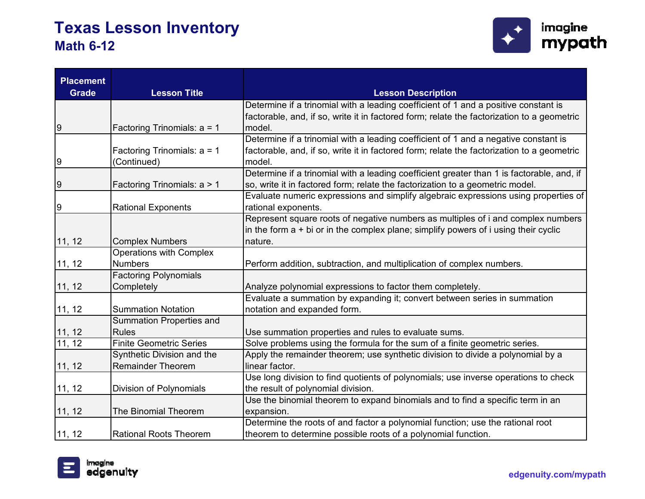

| <b>Placement</b><br><b>Grade</b> | <b>Lesson Title</b>             | <b>Lesson Description</b>                                                                  |
|----------------------------------|---------------------------------|--------------------------------------------------------------------------------------------|
|                                  |                                 | Determine if a trinomial with a leading coefficient of 1 and a positive constant is        |
|                                  |                                 | factorable, and, if so, write it in factored form; relate the factorization to a geometric |
| $\boldsymbol{9}$                 | Factoring Trinomials: a = 1     | model.                                                                                     |
|                                  |                                 | Determine if a trinomial with a leading coefficient of 1 and a negative constant is        |
|                                  | Factoring Trinomials: $a = 1$   | factorable, and, if so, write it in factored form; relate the factorization to a geometric |
| 9                                | (Continued)                     | model.                                                                                     |
|                                  |                                 | Determine if a trinomial with a leading coefficient greater than 1 is factorable, and, if  |
| 9                                | Factoring Trinomials: a > 1     | so, write it in factored form; relate the factorization to a geometric model.              |
|                                  |                                 | Evaluate numeric expressions and simplify algebraic expressions using properties of        |
| 9                                | <b>Rational Exponents</b>       | rational exponents.                                                                        |
|                                  |                                 | Represent square roots of negative numbers as multiples of i and complex numbers           |
|                                  |                                 | in the form $a + bi$ or in the complex plane; simplify powers of i using their cyclic      |
| 11, 12                           | <b>Complex Numbers</b>          | nature.                                                                                    |
|                                  | <b>Operations with Complex</b>  |                                                                                            |
| 11, 12                           | <b>Numbers</b>                  | Perform addition, subtraction, and multiplication of complex numbers.                      |
|                                  | <b>Factoring Polynomials</b>    |                                                                                            |
| 11, 12                           | Completely                      | Analyze polynomial expressions to factor them completely.                                  |
|                                  |                                 | Evaluate a summation by expanding it; convert between series in summation                  |
| 11, 12                           | <b>Summation Notation</b>       | notation and expanded form.                                                                |
|                                  | <b>Summation Properties and</b> |                                                                                            |
| 11, 12                           | <b>Rules</b>                    | Use summation properties and rules to evaluate sums.                                       |
| 11, 12                           | <b>Finite Geometric Series</b>  | Solve problems using the formula for the sum of a finite geometric series.                 |
|                                  | Synthetic Division and the      | Apply the remainder theorem; use synthetic division to divide a polynomial by a            |
| 11, 12                           | <b>Remainder Theorem</b>        | linear factor.                                                                             |
|                                  |                                 | Use long division to find quotients of polynomials; use inverse operations to check        |
| 11, 12                           | Division of Polynomials         | the result of polynomial division.                                                         |
|                                  |                                 | Use the binomial theorem to expand binomials and to find a specific term in an             |
| 11, 12                           | The Binomial Theorem            | expansion.                                                                                 |
|                                  |                                 | Determine the roots of and factor a polynomial function; use the rational root             |
| 11, 12                           | <b>Rational Roots Theorem</b>   | theorem to determine possible roots of a polynomial function.                              |

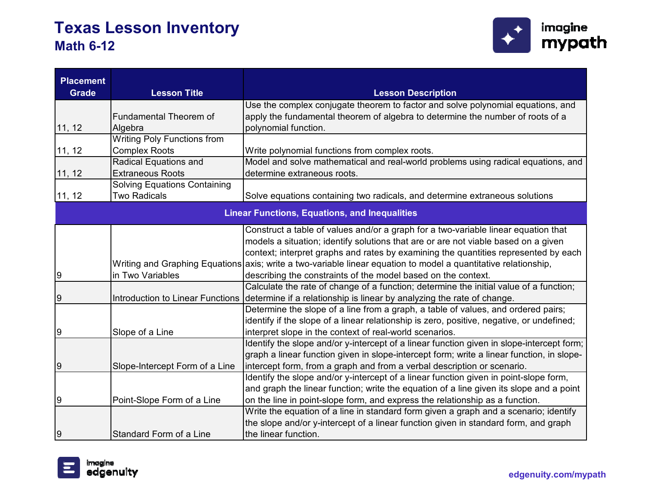

| <b>Placement</b> |                                         |                                                                                           |
|------------------|-----------------------------------------|-------------------------------------------------------------------------------------------|
| <b>Grade</b>     | <b>Lesson Title</b>                     | <b>Lesson Description</b>                                                                 |
|                  |                                         | Use the complex conjugate theorem to factor and solve polynomial equations, and           |
|                  | <b>Fundamental Theorem of</b>           | apply the fundamental theorem of algebra to determine the number of roots of a            |
| 11, 12           | Algebra                                 | polynomial function.                                                                      |
|                  | <b>Writing Poly Functions from</b>      |                                                                                           |
| 11, 12           | <b>Complex Roots</b>                    | Write polynomial functions from complex roots.                                            |
|                  | <b>Radical Equations and</b>            | Model and solve mathematical and real-world problems using radical equations, and         |
| 11, 12           | <b>Extraneous Roots</b>                 | determine extraneous roots.                                                               |
|                  | <b>Solving Equations Containing</b>     |                                                                                           |
| 11, 12           | <b>Two Radicals</b>                     | Solve equations containing two radicals, and determine extraneous solutions               |
|                  |                                         | <b>Linear Functions, Equations, and Inequalities</b>                                      |
|                  |                                         | Construct a table of values and/or a graph for a two-variable linear equation that        |
|                  |                                         | models a situation; identify solutions that are or are not viable based on a given        |
|                  |                                         | context; interpret graphs and rates by examining the quantities represented by each       |
|                  | Writing and Graphing Equations          | axis; write a two-variable linear equation to model a quantitative relationship,          |
| $\overline{9}$   | in Two Variables                        | describing the constraints of the model based on the context.                             |
|                  |                                         | Calculate the rate of change of a function; determine the initial value of a function;    |
| $\overline{9}$   | <b>Introduction to Linear Functions</b> | determine if a relationship is linear by analyzing the rate of change.                    |
|                  |                                         | Determine the slope of a line from a graph, a table of values, and ordered pairs;         |
|                  |                                         | identify if the slope of a linear relationship is zero, positive, negative, or undefined; |
| $\overline{9}$   | Slope of a Line                         | interpret slope in the context of real-world scenarios.                                   |
|                  |                                         | Identify the slope and/or y-intercept of a linear function given in slope-intercept form; |
|                  |                                         | graph a linear function given in slope-intercept form; write a linear function, in slope- |
| $\overline{9}$   | Slope-Intercept Form of a Line          | intercept form, from a graph and from a verbal description or scenario.                   |
|                  |                                         | Identify the slope and/or y-intercept of a linear function given in point-slope form,     |
|                  |                                         | and graph the linear function; write the equation of a line given its slope and a point   |
| $\overline{9}$   | Point-Slope Form of a Line              | on the line in point-slope form, and express the relationship as a function.              |
|                  |                                         | Write the equation of a line in standard form given a graph and a scenario; identify      |
|                  |                                         | the slope and/or y-intercept of a linear function given in standard form, and graph       |
| $\overline{9}$   | Standard Form of a Line                 | the linear function.                                                                      |

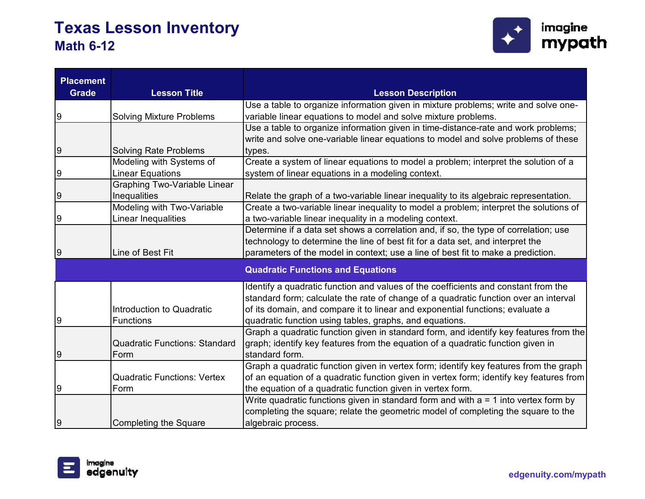

| <b>Placement</b><br><b>Grade</b> | <b>Lesson Title</b>                  | <b>Lesson Description</b>                                                               |
|----------------------------------|--------------------------------------|-----------------------------------------------------------------------------------------|
|                                  |                                      | Use a table to organize information given in mixture problems; write and solve one-     |
| 9                                | <b>Solving Mixture Problems</b>      | variable linear equations to model and solve mixture problems.                          |
|                                  |                                      | Use a table to organize information given in time-distance-rate and work problems;      |
|                                  |                                      | write and solve one-variable linear equations to model and solve problems of these      |
| 9                                | <b>Solving Rate Problems</b>         | types.                                                                                  |
|                                  | Modeling with Systems of             | Create a system of linear equations to model a problem; interpret the solution of a     |
| 9                                | <b>Linear Equations</b>              | system of linear equations in a modeling context.                                       |
|                                  | <b>Graphing Two-Variable Linear</b>  |                                                                                         |
| 9                                | Inequalities                         | Relate the graph of a two-variable linear inequality to its algebraic representation.   |
|                                  | Modeling with Two-Variable           | Create a two-variable linear inequality to model a problem; interpret the solutions of  |
| 9                                | Linear Inequalities                  | a two-variable linear inequality in a modeling context.                                 |
|                                  |                                      | Determine if a data set shows a correlation and, if so, the type of correlation; use    |
|                                  |                                      | technology to determine the line of best fit for a data set, and interpret the          |
| 9                                | Line of Best Fit                     | parameters of the model in context; use a line of best fit to make a prediction.        |
|                                  |                                      | <b>Quadratic Functions and Equations</b>                                                |
|                                  |                                      | Identify a quadratic function and values of the coefficients and constant from the      |
|                                  |                                      | standard form; calculate the rate of change of a quadratic function over an interval    |
|                                  | Introduction to Quadratic            | of its domain, and compare it to linear and exponential functions; evaluate a           |
| 9                                | <b>Functions</b>                     | quadratic function using tables, graphs, and equations.                                 |
|                                  |                                      | Graph a quadratic function given in standard form, and identify key features from the   |
|                                  | <b>Quadratic Functions: Standard</b> | graph; identify key features from the equation of a quadratic function given in         |
| 9                                | Form                                 | standard form.                                                                          |
|                                  |                                      | Graph a quadratic function given in vertex form; identify key features from the graph   |
|                                  | <b>Quadratic Functions: Vertex</b>   | of an equation of a quadratic function given in vertex form; identify key features from |
| 9                                | Form                                 | the equation of a quadratic function given in vertex form.                              |
|                                  |                                      | Write quadratic functions given in standard form and with $a = 1$ into vertex form by   |
|                                  |                                      | completing the square; relate the geometric model of completing the square to the       |
| 9                                | <b>Completing the Square</b>         | algebraic process.                                                                      |

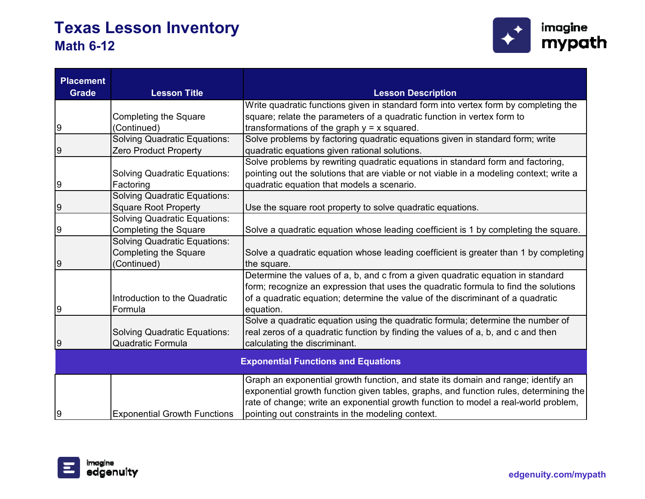

| <b>Placement</b><br><b>Grade</b> | <b>Lesson Title</b>                 |                                                                                         |
|----------------------------------|-------------------------------------|-----------------------------------------------------------------------------------------|
|                                  |                                     | <b>Lesson Description</b>                                                               |
|                                  |                                     | Write quadratic functions given in standard form into vertex form by completing the     |
|                                  | <b>Completing the Square</b>        | square; relate the parameters of a quadratic function in vertex form to                 |
| 9                                | (Continued)                         | transformations of the graph $y = x$ squared.                                           |
|                                  | <b>Solving Quadratic Equations:</b> | Solve problems by factoring quadratic equations given in standard form; write           |
| 9                                | <b>Zero Product Property</b>        | quadratic equations given rational solutions.                                           |
|                                  |                                     | Solve problems by rewriting quadratic equations in standard form and factoring,         |
|                                  | <b>Solving Quadratic Equations:</b> | pointing out the solutions that are viable or not viable in a modeling context; write a |
| 9                                | Factoring                           | quadratic equation that models a scenario.                                              |
|                                  | <b>Solving Quadratic Equations:</b> |                                                                                         |
| 9                                | <b>Square Root Property</b>         | Use the square root property to solve quadratic equations.                              |
|                                  | <b>Solving Quadratic Equations:</b> |                                                                                         |
| 9                                | <b>Completing the Square</b>        | Solve a quadratic equation whose leading coefficient is 1 by completing the square.     |
|                                  | <b>Solving Quadratic Equations:</b> |                                                                                         |
|                                  | <b>Completing the Square</b>        | Solve a quadratic equation whose leading coefficient is greater than 1 by completing    |
| 9                                | (Continued)                         | the square.                                                                             |
|                                  |                                     | Determine the values of a, b, and c from a given quadratic equation in standard         |
|                                  |                                     | form; recognize an expression that uses the quadratic formula to find the solutions     |
|                                  | Introduction to the Quadratic       | of a quadratic equation; determine the value of the discriminant of a quadratic         |
| 9                                | Formula                             | equation.                                                                               |
|                                  |                                     | Solve a quadratic equation using the quadratic formula; determine the number of         |
|                                  | <b>Solving Quadratic Equations:</b> | real zeros of a quadratic function by finding the values of a, b, and c and then        |
| 9                                | <b>Quadratic Formula</b>            | calculating the discriminant.                                                           |
|                                  |                                     | <b>Exponential Functions and Equations</b>                                              |
|                                  |                                     |                                                                                         |
|                                  |                                     | Graph an exponential growth function, and state its domain and range; identify an       |
|                                  |                                     | exponential growth function given tables, graphs, and function rules, determining the   |
|                                  |                                     | rate of change; write an exponential growth function to model a real-world problem,     |
| 9                                | <b>Exponential Growth Functions</b> | pointing out constraints in the modeling context.                                       |

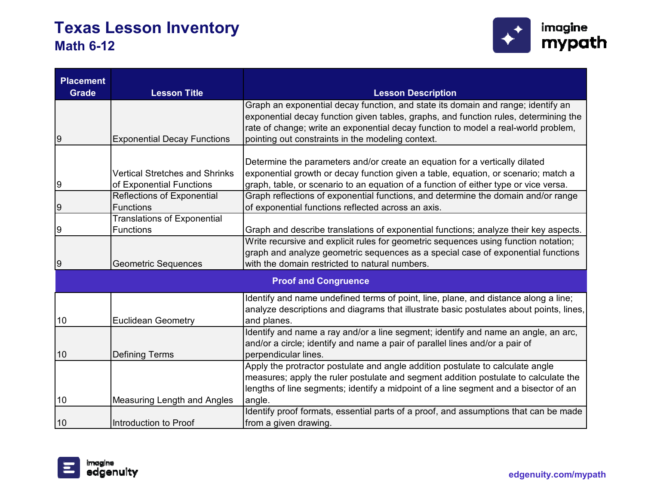

| <b>Placement</b> |                                       |                                                                                         |
|------------------|---------------------------------------|-----------------------------------------------------------------------------------------|
| <b>Grade</b>     | <b>Lesson Title</b>                   | <b>Lesson Description</b>                                                               |
|                  |                                       | Graph an exponential decay function, and state its domain and range; identify an        |
|                  |                                       | exponential decay function given tables, graphs, and function rules, determining the    |
|                  |                                       | rate of change; write an exponential decay function to model a real-world problem,      |
| 9                | <b>Exponential Decay Functions</b>    | pointing out constraints in the modeling context.                                       |
|                  |                                       | Determine the parameters and/or create an equation for a vertically dilated             |
|                  | <b>Vertical Stretches and Shrinks</b> | exponential growth or decay function given a table, equation, or scenario; match a      |
| 9                | of Exponential Functions              | graph, table, or scenario to an equation of a function of either type or vice versa.    |
|                  | <b>Reflections of Exponential</b>     | Graph reflections of exponential functions, and determine the domain and/or range       |
| 9                | <b>Functions</b>                      | of exponential functions reflected across an axis.                                      |
|                  | <b>Translations of Exponential</b>    |                                                                                         |
| 9                | <b>Functions</b>                      | Graph and describe translations of exponential functions; analyze their key aspects.    |
|                  |                                       | Write recursive and explicit rules for geometric sequences using function notation;     |
|                  |                                       | graph and analyze geometric sequences as a special case of exponential functions        |
| 9                | <b>Geometric Sequences</b>            | with the domain restricted to natural numbers.                                          |
|                  |                                       | <b>Proof and Congruence</b>                                                             |
|                  |                                       | Identify and name undefined terms of point, line, plane, and distance along a line;     |
|                  |                                       | analyze descriptions and diagrams that illustrate basic postulates about points, lines, |
| 10               | <b>Euclidean Geometry</b>             | and planes.                                                                             |
|                  |                                       | Identify and name a ray and/or a line segment; identify and name an angle, an arc,      |
|                  |                                       | and/or a circle; identify and name a pair of parallel lines and/or a pair of            |
| 10               | <b>Defining Terms</b>                 | perpendicular lines.                                                                    |
|                  |                                       | Apply the protractor postulate and angle addition postulate to calculate angle          |
|                  |                                       | measures; apply the ruler postulate and segment addition postulate to calculate the     |
|                  |                                       | lengths of line segments; identify a midpoint of a line segment and a bisector of an    |
| 10               | Measuring Length and Angles           | angle.                                                                                  |
|                  |                                       | Identify proof formats, essential parts of a proof, and assumptions that can be made    |
| 10               | Introduction to Proof                 | from a given drawing.                                                                   |

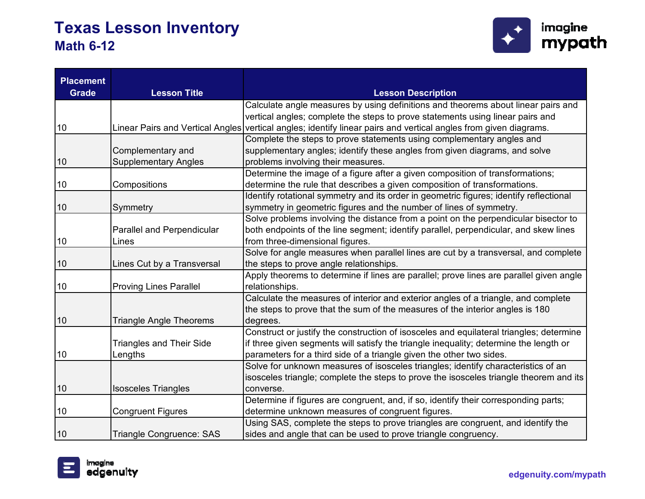

| <b>Placement</b><br><b>Grade</b> | <b>Lesson Title</b>               | <b>Lesson Description</b>                                                                                        |
|----------------------------------|-----------------------------------|------------------------------------------------------------------------------------------------------------------|
|                                  |                                   | Calculate angle measures by using definitions and theorems about linear pairs and                                |
|                                  |                                   | vertical angles; complete the steps to prove statements using linear pairs and                                   |
| 10                               |                                   | Linear Pairs and Vertical Angles vertical angles; identify linear pairs and vertical angles from given diagrams. |
|                                  |                                   | Complete the steps to prove statements using complementary angles and                                            |
|                                  | Complementary and                 | supplementary angles; identify these angles from given diagrams, and solve                                       |
| 10                               | <b>Supplementary Angles</b>       | problems involving their measures.                                                                               |
|                                  |                                   | Determine the image of a figure after a given composition of transformations;                                    |
| 10                               | Compositions                      | determine the rule that describes a given composition of transformations.                                        |
|                                  |                                   | Identify rotational symmetry and its order in geometric figures; identify reflectional                           |
| 10                               | Symmetry                          | symmetry in geometric figures and the number of lines of symmetry.                                               |
|                                  |                                   | Solve problems involving the distance from a point on the perpendicular bisector to                              |
|                                  | <b>Parallel and Perpendicular</b> | both endpoints of the line segment; identify parallel, perpendicular, and skew lines                             |
| 10                               | Lines                             | from three-dimensional figures.                                                                                  |
|                                  |                                   | Solve for angle measures when parallel lines are cut by a transversal, and complete                              |
| 10                               | Lines Cut by a Transversal        | the steps to prove angle relationships.                                                                          |
|                                  |                                   | Apply theorems to determine if lines are parallel; prove lines are parallel given angle                          |
| 10                               | <b>Proving Lines Parallel</b>     | relationships.                                                                                                   |
|                                  |                                   | Calculate the measures of interior and exterior angles of a triangle, and complete                               |
|                                  |                                   | the steps to prove that the sum of the measures of the interior angles is 180                                    |
| 10                               | <b>Triangle Angle Theorems</b>    | degrees.                                                                                                         |
|                                  |                                   | Construct or justify the construction of isosceles and equilateral triangles; determine                          |
|                                  | <b>Triangles and Their Side</b>   | if three given segments will satisfy the triangle inequality; determine the length or                            |
| 10                               | Lengths                           | parameters for a third side of a triangle given the other two sides.                                             |
|                                  |                                   | Solve for unknown measures of isosceles triangles; identify characteristics of an                                |
|                                  |                                   | isosceles triangle; complete the steps to prove the isosceles triangle theorem and its                           |
| 10                               | <b>Isosceles Triangles</b>        | converse.                                                                                                        |
|                                  |                                   | Determine if figures are congruent, and, if so, identify their corresponding parts;                              |
| 10                               | <b>Congruent Figures</b>          | determine unknown measures of congruent figures.                                                                 |
|                                  |                                   | Using SAS, complete the steps to prove triangles are congruent, and identify the                                 |
| 10                               | <b>Triangle Congruence: SAS</b>   | sides and angle that can be used to prove triangle congruency.                                                   |

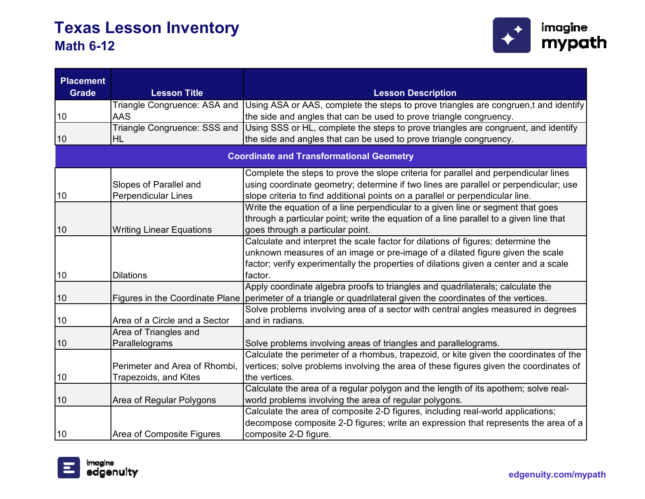

| <b>Placement</b> |                                 |                                                                                        |
|------------------|---------------------------------|----------------------------------------------------------------------------------------|
| <b>Grade</b>     | <b>Lesson Title</b>             | <b>Lesson Description</b>                                                              |
|                  | Triangle Congruence: ASA and    | Using ASA or AAS, complete the steps to prove triangles are congruen,t and identify    |
| 10               | <b>AAS</b>                      | the side and angles that can be used to prove triangle congruency.                     |
|                  | Triangle Congruence: SSS and    | Using SSS or HL, complete the steps to prove triangles are congruent, and identify     |
| 10               | <b>HL</b>                       | the side and angles that can be used to prove triangle congruency.                     |
|                  |                                 | <b>Coordinate and Transformational Geometry</b>                                        |
|                  |                                 | Complete the steps to prove the slope criteria for parallel and perpendicular lines    |
|                  | Slopes of Parallel and          | using coordinate geometry; determine if two lines are parallel or perpendicular; use   |
| 10               | <b>Perpendicular Lines</b>      | slope criteria to find additional points on a parallel or perpendicular line.          |
|                  |                                 | Write the equation of a line perpendicular to a given line or segment that goes        |
|                  |                                 | through a particular point; write the equation of a line parallel to a given line that |
| 10               | <b>Writing Linear Equations</b> | goes through a particular point.                                                       |
|                  |                                 | Calculate and interpret the scale factor for dilations of figures; determine the       |
|                  |                                 | unknown measures of an image or pre-image of a dilated figure given the scale          |
|                  |                                 | factor; verify experimentally the properties of dilations given a center and a scale   |
| 10               | <b>Dilations</b>                | factor.                                                                                |
|                  |                                 | Apply coordinate algebra proofs to triangles and quadrilaterals; calculate the         |
| 10               | Figures in the Coordinate Plane | perimeter of a triangle or quadrilateral given the coordinates of the vertices.        |
|                  |                                 | Solve problems involving area of a sector with central angles measured in degrees      |
| 10               | Area of a Circle and a Sector   | and in radians.                                                                        |
|                  | Area of Triangles and           |                                                                                        |
| 10               | Parallelograms                  | Solve problems involving areas of triangles and parallelograms.                        |
|                  |                                 | Calculate the perimeter of a rhombus, trapezoid, or kite given the coordinates of the  |
|                  | Perimeter and Area of Rhombi,   | vertices; solve problems involving the area of these figures given the coordinates of  |
| 10               | Trapezoids, and Kites           | the vertices.                                                                          |
|                  |                                 | Calculate the area of a regular polygon and the length of its apothem; solve real-     |
| 10               | Area of Regular Polygons        | world problems involving the area of regular polygons.                                 |
|                  |                                 | Calculate the area of composite 2-D figures, including real-world applications;        |
|                  |                                 | decompose composite 2-D figures; write an expression that represents the area of a     |
| 10               | Area of Composite Figures       | composite 2-D figure.                                                                  |

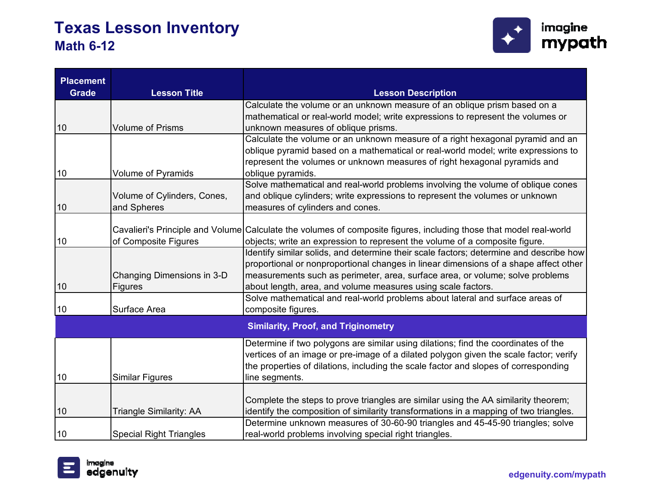

| <b>Placement</b> |                                |                                                                                                                    |
|------------------|--------------------------------|--------------------------------------------------------------------------------------------------------------------|
| <b>Grade</b>     | <b>Lesson Title</b>            | <b>Lesson Description</b>                                                                                          |
|                  |                                | Calculate the volume or an unknown measure of an oblique prism based on a                                          |
|                  |                                | mathematical or real-world model; write expressions to represent the volumes or                                    |
| 10               | <b>Volume of Prisms</b>        | unknown measures of oblique prisms.                                                                                |
|                  |                                | Calculate the volume or an unknown measure of a right hexagonal pyramid and an                                     |
|                  |                                | oblique pyramid based on a mathematical or real-world model; write expressions to                                  |
|                  |                                | represent the volumes or unknown measures of right hexagonal pyramids and                                          |
| 10               | Volume of Pyramids             | oblique pyramids.                                                                                                  |
|                  |                                | Solve mathematical and real-world problems involving the volume of oblique cones                                   |
|                  | Volume of Cylinders, Cones,    | and oblique cylinders; write expressions to represent the volumes or unknown                                       |
| 10               | and Spheres                    | measures of cylinders and cones.                                                                                   |
|                  |                                |                                                                                                                    |
|                  |                                | Cavalieri's Principle and Volume Calculate the volumes of composite figures, including those that model real-world |
| 10               | of Composite Figures           | objects; write an expression to represent the volume of a composite figure.                                        |
|                  |                                | Identify similar solids, and determine their scale factors; determine and describe how                             |
|                  |                                | proportional or nonproportional changes in linear dimensions of a shape affect other                               |
|                  | Changing Dimensions in 3-D     | measurements such as perimeter, area, surface area, or volume; solve problems                                      |
| 10               | <b>Figures</b>                 | about length, area, and volume measures using scale factors.                                                       |
|                  |                                | Solve mathematical and real-world problems about lateral and surface areas of                                      |
| 10               | Surface Area                   | composite figures.                                                                                                 |
|                  |                                | <b>Similarity, Proof, and Triginometry</b>                                                                         |
|                  |                                | Determine if two polygons are similar using dilations; find the coordinates of the                                 |
|                  |                                | vertices of an image or pre-image of a dilated polygon given the scale factor; verify                              |
|                  |                                | the properties of dilations, including the scale factor and slopes of corresponding                                |
| 10               | <b>Similar Figures</b>         | line segments.                                                                                                     |
|                  |                                |                                                                                                                    |
|                  |                                | Complete the steps to prove triangles are similar using the AA similarity theorem;                                 |
| 10               | <b>Triangle Similarity: AA</b> | identify the composition of similarity transformations in a mapping of two triangles.                              |
|                  |                                | Determine unknown measures of 30-60-90 triangles and 45-45-90 triangles; solve                                     |
| 10               | <b>Special Right Triangles</b> | real-world problems involving special right triangles.                                                             |

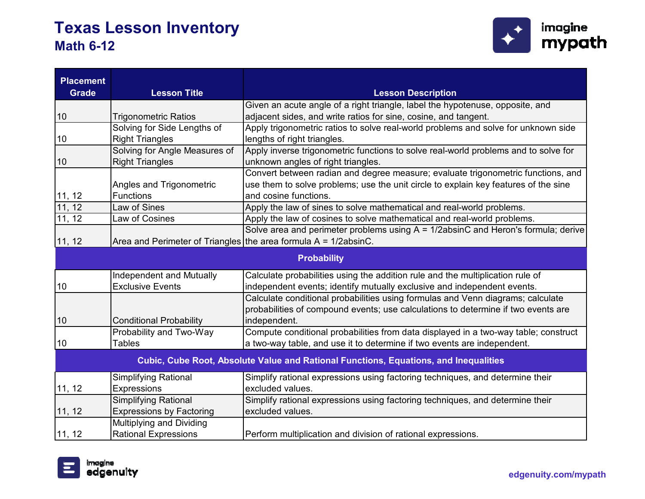

| <b>Placement</b><br><b>Grade</b> | <b>Lesson Title</b>                                                | <b>Lesson Description</b>                                                            |
|----------------------------------|--------------------------------------------------------------------|--------------------------------------------------------------------------------------|
|                                  |                                                                    | Given an acute angle of a right triangle, label the hypotenuse, opposite, and        |
| 10                               | <b>Trigonometric Ratios</b>                                        | adjacent sides, and write ratios for sine, cosine, and tangent.                      |
|                                  | Solving for Side Lengths of                                        | Apply trigonometric ratios to solve real-world problems and solve for unknown side   |
| 10                               | <b>Right Triangles</b>                                             | lengths of right triangles.                                                          |
|                                  | Solving for Angle Measures of                                      | Apply inverse trigonometric functions to solve real-world problems and to solve for  |
| 10                               | <b>Right Triangles</b>                                             | unknown angles of right triangles.                                                   |
|                                  |                                                                    | Convert between radian and degree measure; evaluate trigonometric functions, and     |
|                                  | Angles and Trigonometric                                           | use them to solve problems; use the unit circle to explain key features of the sine  |
| 11, 12                           | <b>Functions</b>                                                   | and cosine functions.                                                                |
| 11, 12                           | Law of Sines                                                       | Apply the law of sines to solve mathematical and real-world problems.                |
| $\overline{11}$ , 12             | Law of Cosines                                                     | Apply the law of cosines to solve mathematical and real-world problems.              |
|                                  |                                                                    | Solve area and perimeter problems using $A = 1/2$ absinC and Heron's formula; derive |
| 11, 12                           | Area and Perimeter of Triangles the area formula $A = 1/2$ absinC. |                                                                                      |
|                                  |                                                                    | <b>Probability</b>                                                                   |
|                                  | Independent and Mutually                                           | Calculate probabilities using the addition rule and the multiplication rule of       |
| 10                               | <b>Exclusive Events</b>                                            | independent events; identify mutually exclusive and independent events.              |
|                                  |                                                                    | Calculate conditional probabilities using formulas and Venn diagrams; calculate      |
|                                  |                                                                    | probabilities of compound events; use calculations to determine if two events are    |
| 10                               | <b>Conditional Probability</b>                                     | independent.                                                                         |
|                                  | Probability and Two-Way                                            | Compute conditional probabilities from data displayed in a two-way table; construct  |
| 10                               | <b>Tables</b>                                                      | a two-way table, and use it to determine if two events are independent.              |
|                                  |                                                                    | Cubic, Cube Root, Absolute Value and Rational Functions, Equations, and Inequalities |
|                                  | <b>Simplifying Rational</b>                                        | Simplify rational expressions using factoring techniques, and determine their        |
| 11, 12                           | Expressions                                                        | excluded values.                                                                     |
|                                  | <b>Simplifying Rational</b>                                        | Simplify rational expressions using factoring techniques, and determine their        |
| 11, 12                           | <b>Expressions by Factoring</b>                                    | excluded values.                                                                     |
|                                  | Multiplying and Dividing                                           |                                                                                      |
| 11, 12                           | <b>Rational Expressions</b>                                        | Perform multiplication and division of rational expressions.                         |

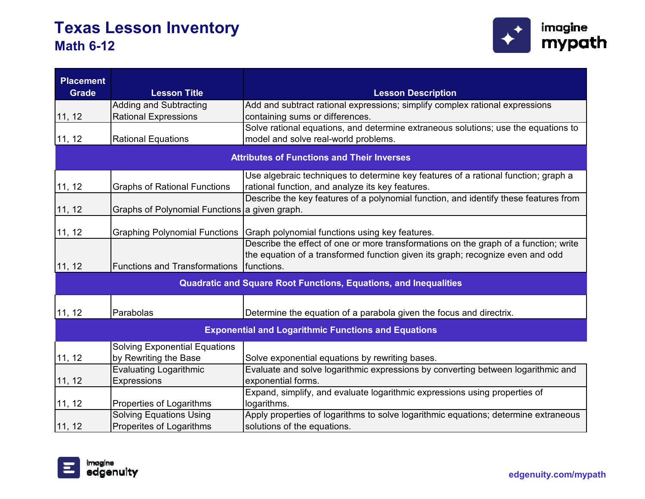

| <b>Placement</b> |                                               |                                                                                      |
|------------------|-----------------------------------------------|--------------------------------------------------------------------------------------|
| <b>Grade</b>     | <b>Lesson Title</b>                           | <b>Lesson Description</b>                                                            |
|                  | Adding and Subtracting                        | Add and subtract rational expressions; simplify complex rational expressions         |
| 11, 12           | <b>Rational Expressions</b>                   | containing sums or differences.                                                      |
|                  |                                               | Solve rational equations, and determine extraneous solutions; use the equations to   |
| 11, 12           | <b>Rational Equations</b>                     | model and solve real-world problems.                                                 |
|                  |                                               | <b>Attributes of Functions and Their Inverses</b>                                    |
|                  |                                               | Use algebraic techniques to determine key features of a rational function; graph a   |
| 11, 12           | <b>Graphs of Rational Functions</b>           | rational function, and analyze its key features.                                     |
|                  |                                               | Describe the key features of a polynomial function, and identify these features from |
| 11, 12           | Graphs of Polynomial Functions a given graph. |                                                                                      |
| 11, 12           | <b>Graphing Polynomial Functions</b>          | Graph polynomial functions using key features.                                       |
|                  |                                               | Describe the effect of one or more transformations on the graph of a function; write |
|                  |                                               | the equation of a transformed function given its graph; recognize even and odd       |
| 11, 12           | <b>Functions and Transformations</b>          | functions.                                                                           |
|                  |                                               | <b>Quadratic and Square Root Functions, Equations, and Inequalities</b>              |
| 11, 12           | Parabolas                                     | Determine the equation of a parabola given the focus and directrix.                  |
|                  |                                               | <b>Exponential and Logarithmic Functions and Equations</b>                           |
|                  | <b>Solving Exponential Equations</b>          |                                                                                      |
| 11, 12           | by Rewriting the Base                         | Solve exponential equations by rewriting bases.                                      |
|                  | Evaluating Logarithmic                        | Evaluate and solve logarithmic expressions by converting between logarithmic and     |
| 11, 12           | <b>Expressions</b>                            | exponential forms.                                                                   |
|                  |                                               | Expand, simplify, and evaluate logarithmic expressions using properties of           |
| 11, 12           | Properties of Logarithms                      | logarithms.                                                                          |
|                  | <b>Solving Equations Using</b>                | Apply properties of logarithms to solve logarithmic equations; determine extraneous  |
| 11, 12           | Properites of Logarithms                      | solutions of the equations.                                                          |